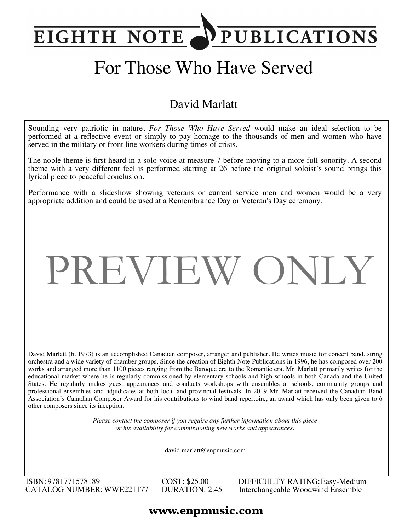## PUBLICATIONS **EIGHTH NOTE**

# For Those Who Have Served

### David Marlatt

Sounding very patriotic in nature, *For Those Who Have Served* would make an ideal selection to be performed at a reflective event or simply to pay homage to the thousands of men and women who have served in the military or front line workers during times of crisis.

The noble theme is first heard in a solo voice at measure 7 before moving to a more full sonority. A second theme with a very different feel is performed starting at 26 before the original soloist's sound brings this lyrical piece to peaceful conclusion.

Performance with a slideshow showing veterans or current service men and women would be a very appropriate addition and could be used at a Remembrance Day or Veteran's Day ceremony.

# PREVIEW ONLY

David Marlatt (b. 1973) is an accomplished Canadian composer, arranger and publisher. He writes music for concert band, string orchestra and a wide variety of chamber groups. Since the creation of Eighth Note Publications in 1996, he has composed over 200 works and arranged more than 1100 pieces ranging from the Baroque era to the Romantic era. Mr. Marlatt primarily writes for the educational market where he is regularly commissioned by elementary schools and high schools in both Canada and the United States. He regularly makes guest appearances and conducts workshops with ensembles at schools, community groups and professional ensembles and adjudicates at both local and provincial festivals. In 2019 Mr. Marlatt received the Canadian Band Association's Canadian Composer Award for his contributions to wind band repertoire, an award which has only been given to 6 other composers since its inception.

> *Please contact the composer if you require any further information about this piece or his availability for commissioning new works and appearances.*

> > david.marlatt@enpmusic.com

ISBN: 9781771578189 CATALOG NUMBER: WWE221177 COST: \$25.00 DURATION: 2:45 DIFFICULTY RATING:Easy-Medium Interchangeable Woodwind Ensemble

### **www.enpmusic.com**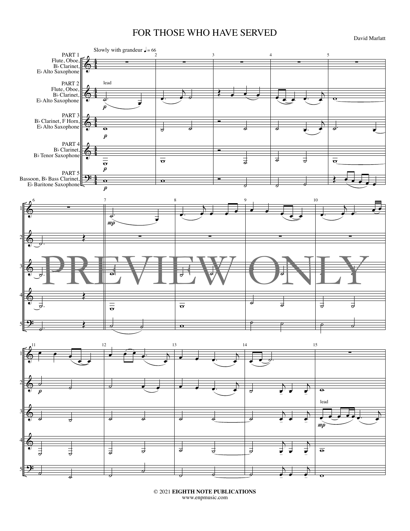#### FOR THOSE WHO HAVE SERVED

David Marlatt



© 2021 **EIGHTH NOTE PUBLICATIONS** www.enpmusic.com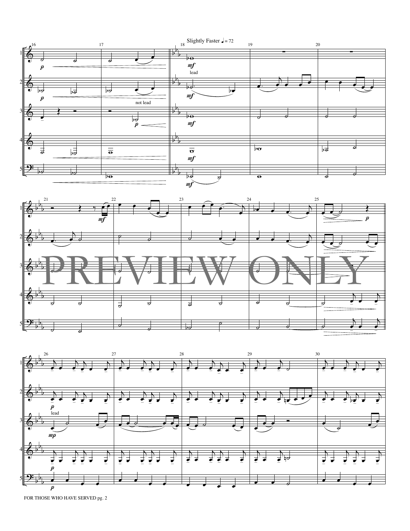

FOR THOSE WHO HAVE SERVED pg. 2